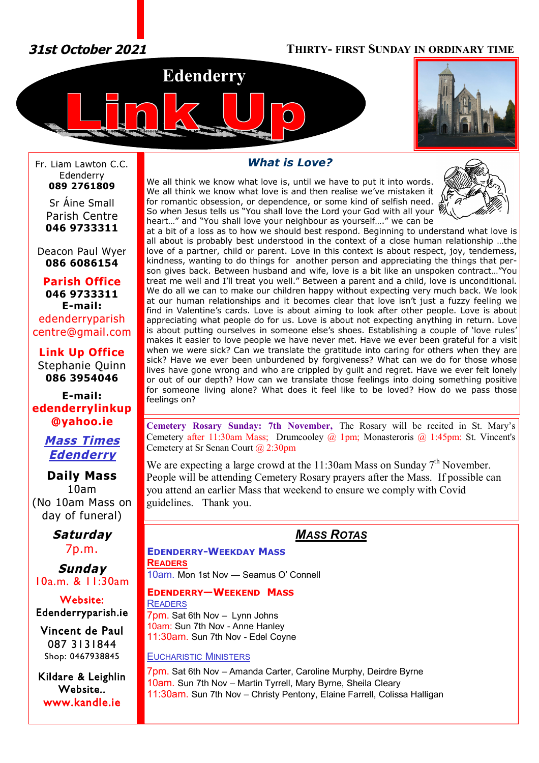*31st October 2021* **THIRTY- FIRST SUNDAY IN ORDINARY TIME**





Fr. Liam Lawton C.C. Edenderry **089 2761809**

Sr Áine Small Parish Centre **046 9733311**

Deacon Paul Wyer **086 6086154**

**Parish Office 046 9733311 E-mail:** edenderryparish [centre@gmail.com](mailto:centre@gmail.com)

**Link Up Office** Stephanie Quinn **086 3954046**

**E-mail: edenderrylinkup [@yahoo.ie](mailto:@yahoo.ie)**

> *Mass Times Edenderry*

**Daily Mass** 10am (No 10am Mass on day of funeral)

> *Saturday* 7p.m.

*Sunday* 10a.m. & 11:30am

**Website: Edenderryparish.ie**

**Vincent de Paul**  087 3131844 Shop: 0467938845

**Kildare & Leighlin Website.. [www.kandle.ie](http://www.kandle.ie)** 

# *What is Love?*

We all think we know what love is, until we have to put it into words. We all think we know what love is and then realise we've mistaken it for romantic obsession, or dependence, or some kind of selfish need. So when Jesus tells us "You shall love the Lord your God with all your \ heart…" and "You shall love your neighbour as yourself…." we can be



at a bit of a loss as to how we should best respond. Beginning to understand what love is all about is probably best understood in the context of a close human relationship …the love of a partner, child or parent. Love in this context is about respect, joy, tenderness, kindness, wanting to do things for another person and appreciating the things that person gives back. Between husband and wife, love is a bit like an unspoken contract…"You treat me well and I'll treat you well." Between a parent and a child, love is unconditional. We do all we can to make our children happy without expecting very much back. We look at our human relationships and it becomes clear that love isn't just a fuzzy feeling we find in Valentine's cards. Love is about aiming to look after other people. Love is about appreciating what people do for us. Love is about not expecting anything in return. Love is about putting ourselves in someone else's shoes. Establishing a couple of 'love rules' makes it easier to love people we have never met. Have we ever been grateful for a visit when we were sick? Can we translate the gratitude into caring for others when they are sick? Have we ever been unburdened by forgiveness? What can we do for those whose lives have gone wrong and who are crippled by guilt and regret. Have we ever felt lonely or out of our depth? How can we translate those feelings into doing something positive for someone living alone? What does it feel like to be loved? How do we pass those feelings on?

**Cemetery Rosary Sunday: 7th November,** The Rosary will be recited in St. Mary's Cemetery after 11:30am Mass; Drumcooley  $\omega$  1pm; Monasteroris  $\omega$  1:45pm: St. Vincent's Cemetery at Sr Senan Court @ 2:30pm

We are expecting a large crowd at the 11:30am Mass on Sunday  $7<sup>th</sup>$  November. People will be attending Cemetery Rosary prayers after the Mass. If possible can you attend an earlier Mass that weekend to ensure we comply with Covid guidelines. Thank you.

# *MASS ROTAS*

## **EDENDERRY-WEEKDAY MASS READERS** 10am. Mon 1st Nov — Seamus O' Connell

**EDENDERRY—WEEKEND MASS**

**READERS** 7pm. Sat 6th Nov – Lynn Johns 10am: Sun 7th Nov - Anne Hanley 11:30am. Sun 7th Nov - Edel Coyne

# EUCHARISTIC MINISTERS

7pm. Sat 6th Nov – Amanda Carter, Caroline Murphy, Deirdre Byrne 10am. Sun 7th Nov – Martin Tyrrell, Mary Byrne, Sheila Cleary 11:30am. Sun 7th Nov – Christy Pentony, Elaine Farrell, Colissa Halligan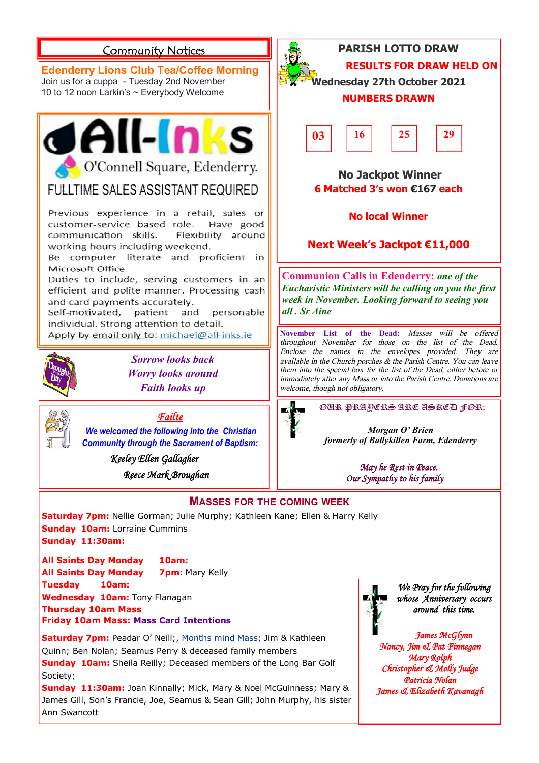#### **PARISH LOTTO DRAW Community Notices RESULTS FOR DRAW HELD ON Edenderry Lions Club Tea/Coffee Morning Wednesday 27th October 2021** Join us for a cuppa - Tuesday 2nd November 10 to 12 noon Larkin's ~ Everybody Welcome **NUMBERS DRAWN** dall-Inks **03 16 25 29** O'Connell Square, Edenderry.  **No Jackpot Winner** FULLTIME SALES ASSISTANT REQUIRED **6 Matched 3's won €167 each** Previous experience in a retail, sales or **No local Winner** customer-service based role. Have good communication skills. Flexibility around **Next Week's Jackpot €11,000** working hours including weekend. Be computer literate and proficient in Microsoft Office. **Communion Calls in Edenderry:** *one of the*  Duties to include, serving customers in an *Eucharistic Ministers will be calling on you the first*  efficient and polite manner. Processing cash *week in November. Looking forward to seeing you*  and card payments accurately. *all . Sr Aine*Self-motivated, patient and personable individual. Strong attention to detail. **November List of the Dead:** *Masses will be offered*  Apply by email only to: michael@all-inks.ie *throughout November for those on the list of the Dead. Enclose the names in the envelopes provided. They are Sorrow looks back available in the Church porches & the Parish Centre. You can leave them into the special box for the list of the Dead, either before or Worry looks around immediately after any Mass or into the Parish Centre. Donations are Faith looks up welcome, though not obligatory.* OUR PRAYERS ARE ASKED FOR: *Failte We welcomed the following into the Christian Morgan O' Brien formerly of Ballykillen Farm, Edenderry Community through the Sacrament of Baptism: Keeley Ellen Gallagher May he Rest in Peace. Reece Mark Broughan Our Sympathy to his family*  **MASSES FOR THE COMING WEEK Saturday 7pm:** Nellie Gorman; Julie Murphy; Kathleen Kane; Ellen & Harry Kelly **Sunday 10am:** Lorraine Cummins **Sunday 11:30am: All Saints Day Monday 10am:**

**All Saints Day Monday 7pm: Mary Kelly Tuesday 10am: Wednesday 10am:** Tony Flanagan **Thursday 10am Mass Friday 10am Mass: Mass Card Intentions**

**Saturday 7pm:** Peadar O' Neill;, Months mind Mass; Jim & Kathleen Quinn; Ben Nolan; Seamus Perry & deceased family members **Sunday 10am:** Sheila Reilly; Deceased members of the Long Bar Golf Society;

**Sunday 11:30am:** Joan Kinnally; Mick, Mary & Noel McGuinness; Mary & James Gill, Son's Francie, Joe, Seamus & Sean Gill; John Murphy, his sister Ann Swancott

*We Pray for the following whose Anniversary occurs around this time.* 

*James McGlynn Nancy, Jim & Pat Finnegan Mary Rolph Christopher & Molly Judge Patricia Nolan James & Elizabeth Kavanagh*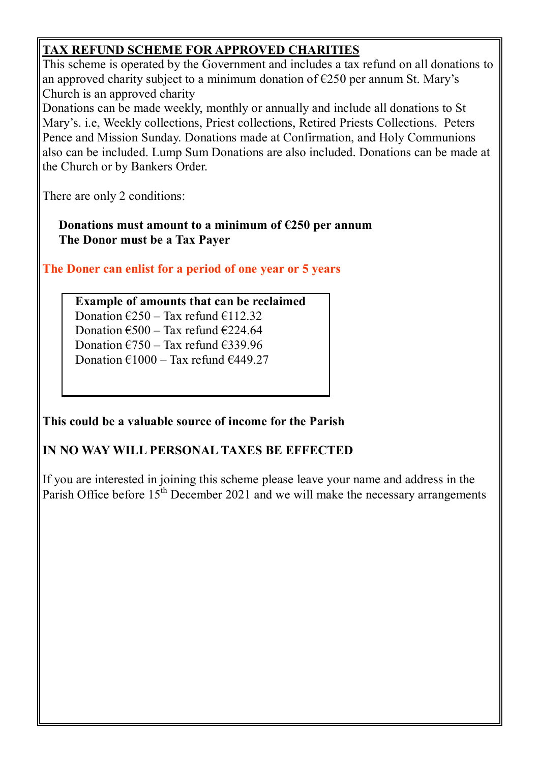# **TAX REFUND SCHEME FOR APPROVED CHARITIES**

This scheme is operated by the Government and includes a tax refund on all donations to an approved charity subject to a minimum donation of  $E250$  per annum St. Mary's Church is an approved charity

Donations can be made weekly, monthly or annually and include all donations to St Mary's. i.e, Weekly collections, Priest collections, Retired Priests Collections. Peters Pence and Mission Sunday. Donations made at Confirmation, and Holy Communions also can be included. Lump Sum Donations are also included. Donations can be made at the Church or by Bankers Order.

There are only 2 conditions:

**Donations must amount to a minimum of €250 per annum The Donor must be a Tax Payer**

**The Doner can enlist for a period of one year or 5 years**

# **Example of amounts that can be reclaimed**

Donation  $\text{\textsterling}250 - \text{Tax}$  refund  $\text{\textsterling}112.32$ Donation  $\epsilon$ 500 – Tax refund  $\epsilon$ 224.64

Donation  $\epsilon$ 750 – Tax refund  $\epsilon$ 339.96

Donation  $\text{\textsterling}1000 - \text{Tax refund } \text{\textsterling}449.27$ 

# **This could be a valuable source of income for the Parish**

# **IN NO WAY WILL PERSONAL TAXES BE EFFECTED**

If you are interested in joining this scheme please leave your name and address in the Parish Office before  $15<sup>th</sup>$  December 2021 and we will make the necessary arrangements